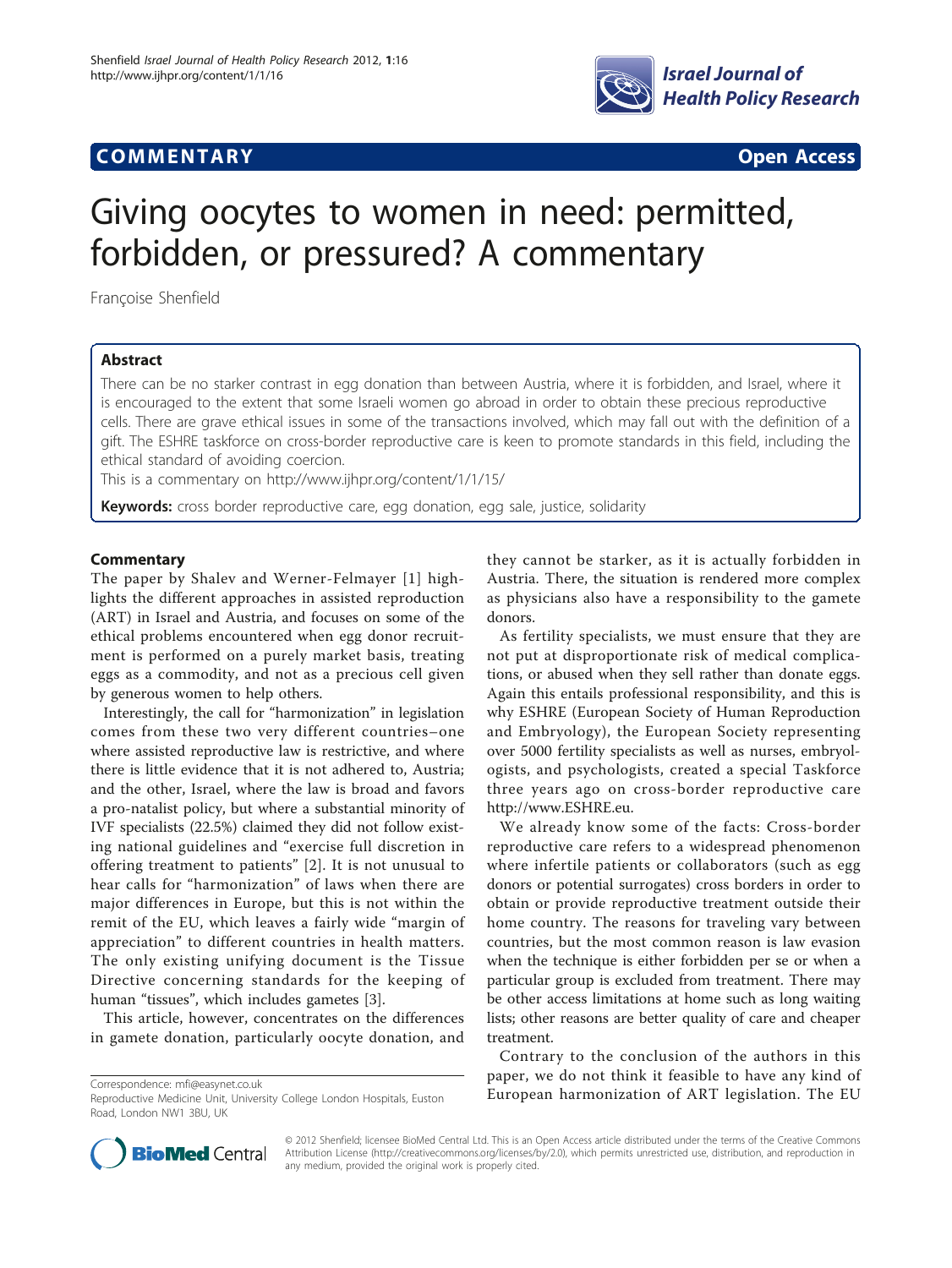# **COMMENTARY COMMENTARY Open Access**



# Giving oocytes to women in need: permitted, forbidden, or pressured? A commentary

Françoise Shenfield

## Abstract

There can be no starker contrast in egg donation than between Austria, where it is forbidden, and Israel, where it is encouraged to the extent that some Israeli women go abroad in order to obtain these precious reproductive cells. There are grave ethical issues in some of the transactions involved, which may fall out with the definition of a gift. The ESHRE taskforce on cross-border reproductive care is keen to promote standards in this field, including the ethical standard of avoiding coercion.

This is a commentary on<http://www.ijhpr.org/content/1/1/15/>

Keywords: cross border reproductive care, egg donation, egg sale, justice, solidarity

### **Commentary**

The paper by Shalev and Werner-Felmayer [\[1\]](#page-1-0) highlights the different approaches in assisted reproduction (ART) in Israel and Austria, and focuses on some of the ethical problems encountered when egg donor recruitment is performed on a purely market basis, treating eggs as a commodity, and not as a precious cell given by generous women to help others.

Interestingly, the call for "harmonization" in legislation comes from these two very different countries–one where assisted reproductive law is restrictive, and where there is little evidence that it is not adhered to, Austria; and the other, Israel, where the law is broad and favors a pro-natalist policy, but where a substantial minority of IVF specialists (22.5%) claimed they did not follow existing national guidelines and "exercise full discretion in offering treatment to patients" [[2\]](#page-1-0). It is not unusual to hear calls for "harmonization" of laws when there are major differences in Europe, but this is not within the remit of the EU, which leaves a fairly wide "margin of appreciation" to different countries in health matters. The only existing unifying document is the Tissue Directive concerning standards for the keeping of human "tissues", which includes gametes [\[3\]](#page-1-0).

This article, however, concentrates on the differences in gamete donation, particularly oocyte donation, and

they cannot be starker, as it is actually forbidden in Austria. There, the situation is rendered more complex as physicians also have a responsibility to the gamete donors.

As fertility specialists, we must ensure that they are not put at disproportionate risk of medical complications, or abused when they sell rather than donate eggs. Again this entails professional responsibility, and this is why ESHRE (European Society of Human Reproduction and Embryology), the European Society representing over 5000 fertility specialists as well as nurses, embryologists, and psychologists, created a special Taskforce three years ago on cross-border reproductive care [http://www.ESHRE.eu.](http://www.ESHRE.eu)

We already know some of the facts: Cross-border reproductive care refers to a widespread phenomenon where infertile patients or collaborators (such as egg donors or potential surrogates) cross borders in order to obtain or provide reproductive treatment outside their home country. The reasons for traveling vary between countries, but the most common reason is law evasion when the technique is either forbidden per se or when a particular group is excluded from treatment. There may be other access limitations at home such as long waiting lists; other reasons are better quality of care and cheaper treatment.

Contrary to the conclusion of the authors in this paper, we do not think it feasible to have any kind of Correspondence: [mfi@easynet.co.uk](mailto:mfi@easynet.co.uk)<br>Reproductive Medicine Unit University College London Hospitals Fuston **European harmonization of ART legislation. The EU** 



© 2012 Shenfield; licensee BioMed Central Ltd. This is an Open Access article distributed under the terms of the Creative Commons Attribution License [\(http://creativecommons.org/licenses/by/2.0](http://creativecommons.org/licenses/by/2.0)), which permits unrestricted use, distribution, and reproduction in any medium, provided the original work is properly cited.

Reproductive Medicine Unit, University College London Hospitals, Euston Road, London NW1 3BU, UK